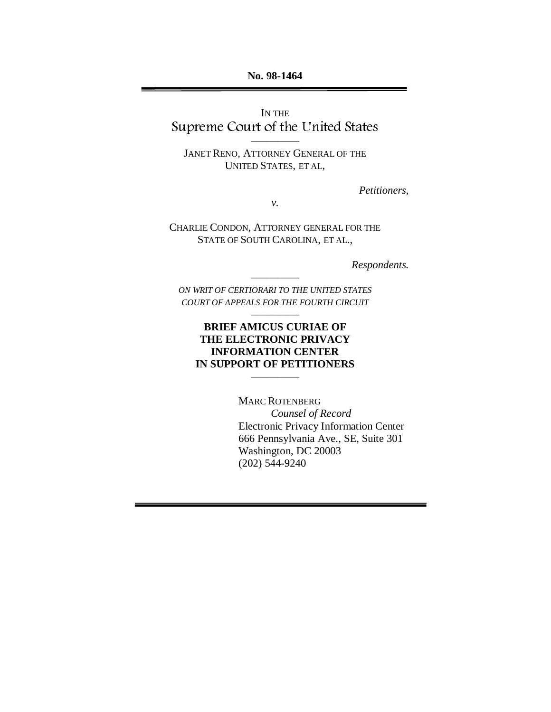**No. 98-1464**

IN THE Supreme Court of the United States

–––––––––

JANET RENO, ATTORNEY GENERAL OF THE UNITED STATES, ET AL,

*Petitioners,*

*v.*

CHARLIE CONDON, ATTORNEY GENERAL FOR THE STATE OF SOUTH CAROLINA, ET AL.,

*Respondents.*

*ON WRIT OF CERTIORARI TO THE UNITED STATES COURT OF APPEALS FOR THE FOURTH CIRCUIT* –––––––––

–––––––––

### **BRIEF AMICUS CURIAE OF THE ELECTRONIC PRIVACY INFORMATION CENTER IN SUPPORT OF PETITIONERS**

–––––––––

MARC ROTENBERG *Counsel of Record* Electronic Privacy Information Center 666 Pennsylvania Ave., SE, Suite 301 Washington, DC 20003 (202) 544-9240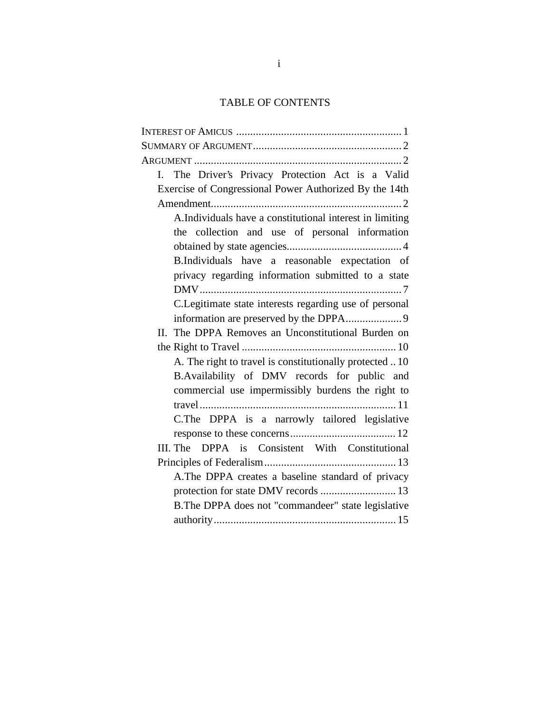# TABLE OF CONTENTS

| I. The Driver's Privacy Protection Act is a Valid        |
|----------------------------------------------------------|
| Exercise of Congressional Power Authorized By the 14th   |
|                                                          |
| A.Individuals have a constitutional interest in limiting |
| the collection and use of personal information           |
|                                                          |
| B.Individuals have a reasonable expectation of           |
| privacy regarding information submitted to a state       |
|                                                          |
| C. Legitimate state interests regarding use of personal  |
|                                                          |
| II. The DPPA Removes an Unconstitutional Burden on       |
|                                                          |
| A. The right to travel is constitutionally protected  10 |
| B.Availability of DMV records for public and             |
| commercial use impermissibly burdens the right to        |
|                                                          |
| C. The DPPA is a narrowly tailored legislative           |
|                                                          |
| III. The DPPA is Consistent With Constitutional          |
|                                                          |
| A. The DPPA creates a baseline standard of privacy       |
| protection for state DMV records  13                     |
| B. The DPPA does not "commandeer" state legislative      |
|                                                          |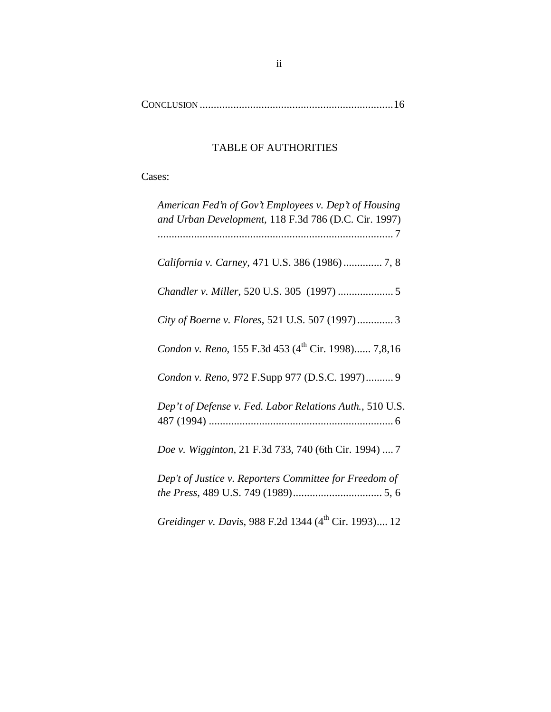CONCLUSION .....................................................................16

# TABLE OF AUTHORITIES

Cases:

| American Fed'n of Gov't Employees v. Dep't of Housing<br>and Urban Development, 118 F.3d 786 (D.C. Cir. 1997) |
|---------------------------------------------------------------------------------------------------------------|
| California v. Carney, 471 U.S. 386 (1986)  7, 8                                                               |
| Chandler v. Miller, 520 U.S. 305 (1997)  5                                                                    |
| City of Boerne v. Flores, 521 U.S. 507 (1997) 3                                                               |
| Condon v. Reno, 155 F.3d 453 (4 <sup>th</sup> Cir. 1998) 7,8,16                                               |
| Condon v. Reno, 972 F.Supp 977 (D.S.C. 1997) 9                                                                |
| Dep't of Defense v. Fed. Labor Relations Auth., 510 U.S.                                                      |
| Doe v. Wigginton, 21 F.3d 733, 740 (6th Cir. 1994)  7                                                         |
| Dep't of Justice v. Reporters Committee for Freedom of                                                        |
| Greidinger v. Davis, 988 F.2d 1344 (4th Cir. 1993) 12                                                         |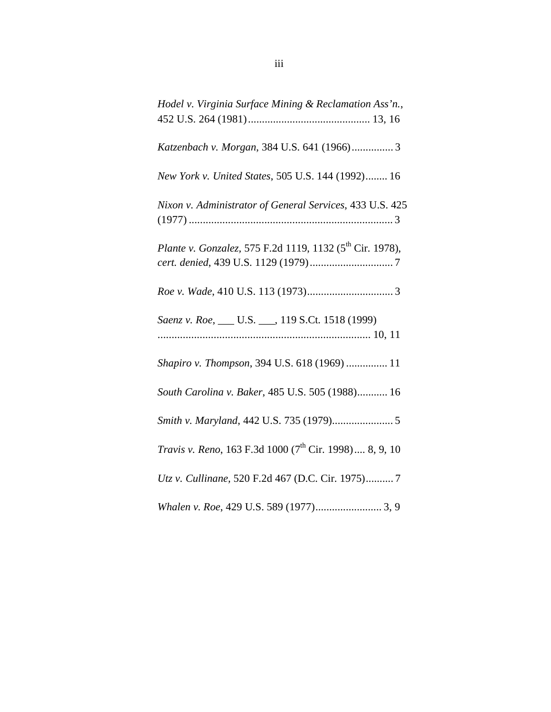| Hodel v. Virginia Surface Mining & Reclamation Ass'n.,                     |
|----------------------------------------------------------------------------|
| Katzenbach v. Morgan, 384 U.S. 641 (1966) 3                                |
| New York v. United States, 505 U.S. 144 (1992) 16                          |
| Nixon v. Administrator of General Services, 433 U.S. 425                   |
| Plante v. Gonzalez, 575 F.2d 1119, 1132 (5 <sup>th</sup> Cir. 1978),       |
|                                                                            |
| Saenz v. Roe, __ U.S. __, 119 S.Ct. 1518 (1999)                            |
| Shapiro v. Thompson, 394 U.S. 618 (1969)  11                               |
| South Carolina v. Baker, 485 U.S. 505 (1988) 16                            |
|                                                                            |
| <i>Travis v. Reno</i> , 163 F.3d 1000 (7 <sup>th</sup> Cir. 1998) 8, 9, 10 |
| Utz v. Cullinane, 520 F.2d 467 (D.C. Cir. 1975)7                           |
| Whalen v. Roe, 429 U.S. 589 (1977) 3, 9                                    |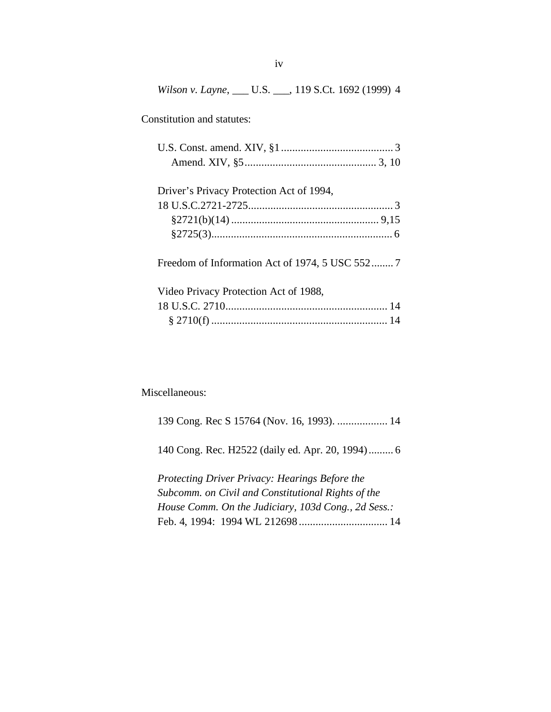*Wilson v. Layne*, \_\_\_ U.S. \_\_\_, 119 S.Ct. 1692 (1999) 4

Constitution and statutes:

| Driver's Privacy Protection Act of 1994,        |  |
|-------------------------------------------------|--|
|                                                 |  |
|                                                 |  |
|                                                 |  |
| Freedom of Information Act of 1974, 5 USC 552 7 |  |
| Video Privacy Protection Act of 1988,           |  |
|                                                 |  |
|                                                 |  |

Miscellaneous:

139 Cong. Rec S 15764 (Nov. 16, 1993). .................. 14 140 Cong. Rec. H2522 (daily ed. Apr. 20, 1994) ......... 6 *Protecting Driver Privacy: Hearings Before the Subcomm. on Civil and Constitutional Rights of the House Comm. On the Judiciary, 103d Cong., 2d Sess.:* Feb. 4, 1994: 1994 WL 212698 ................................ 14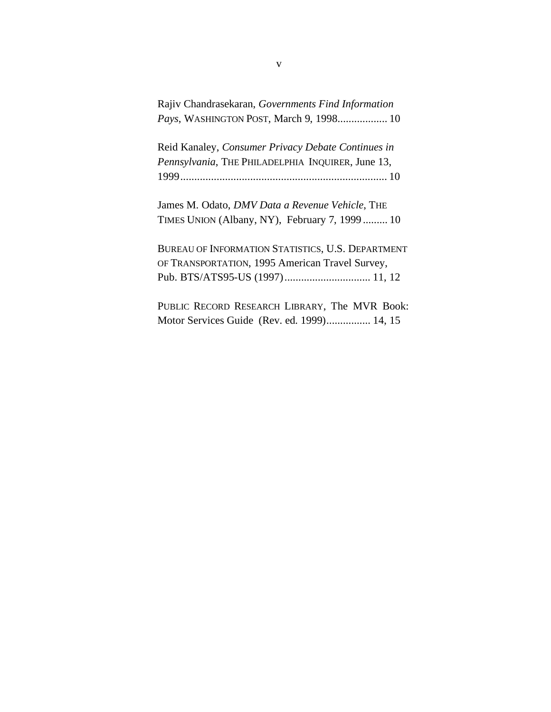| Rajiv Chandrasekaran, Governments Find Information |  |  |
|----------------------------------------------------|--|--|
| <i>Pays</i> , WASHINGTON POST, March 9, 1998 10    |  |  |

Reid Kanaley, *Consumer Privacy Debate Continues in Pennsylvania*, THE PHILADELPHIA INQUIRER, June 13, 1999.......................................................................... 10

James M. Odato, *DMV Data a Revenue Vehicle*, THE TIMES UNION (Albany, NY), February 7, 1999 ......... 10

BUREAU OF INFORMATION STATISTICS, U.S. DEPARTMENT OF TRANSPORTATION, 1995 American Travel Survey, Pub. BTS/ATS95-US (1997)............................... 11, 12

PUBLIC RECORD RESEARCH LIBRARY, The MVR Book: Motor Services Guide (Rev. ed. 1999)................ 14, 15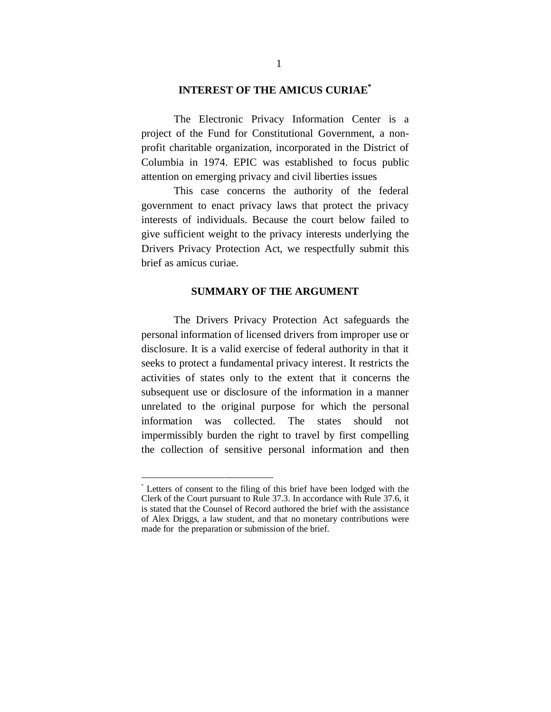#### **INTEREST OF THE AMICUS CURIAE\***

The Electronic Privacy Information Center is a project of the Fund for Constitutional Government, a nonprofit charitable organization, incorporated in the District of Columbia in 1974. EPIC was established to focus public attention on emerging privacy and civil liberties issues

This case concerns the authority of the federal government to enact privacy laws that protect the privacy interests of individuals. Because the court below failed to give sufficient weight to the privacy interests underlying the Drivers Privacy Protection Act, we respectfully submit this brief as amicus curiae.

#### **SUMMARY OF THE ARGUMENT**

The Drivers Privacy Protection Act safeguards the personal information of licensed drivers from improper use or disclosure. It is a valid exercise of federal authority in that it seeks to protect a fundamental privacy interest. It restricts the activities of states only to the extent that it concerns the subsequent use or disclosure of the information in a manner unrelated to the original purpose for which the personal information was collected. The states should not impermissibly burden the right to travel by first compelling the collection of sensitive personal information and then

 <sup>\*</sup> Letters of consent to the filing of this brief have been lodged with the Clerk of the Court pursuant to Rule 37.3. In accordance with Rule 37.6, it is stated that the Counsel of Record authored the brief with the assistance of Alex Driggs, a law student, and that no monetary contributions were made for the preparation or submission of the brief.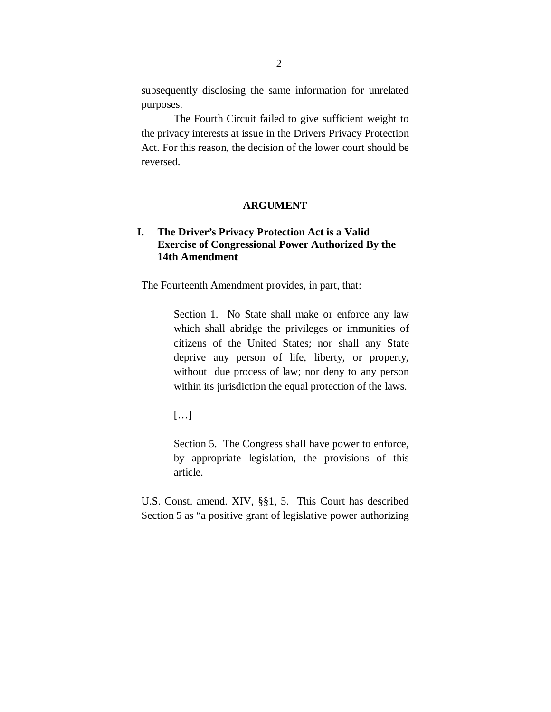subsequently disclosing the same information for unrelated purposes.

The Fourth Circuit failed to give sufficient weight to the privacy interests at issue in the Drivers Privacy Protection Act. For this reason, the decision of the lower court should be reversed.

#### **ARGUMENT**

### **I. The Driver's Privacy Protection Act is a Valid Exercise of Congressional Power Authorized By the 14th Amendment**

The Fourteenth Amendment provides, in part, that:

Section 1. No State shall make or enforce any law which shall abridge the privileges or immunities of citizens of the United States; nor shall any State deprive any person of life, liberty, or property, without due process of law; nor deny to any person within its jurisdiction the equal protection of the laws.

[…]

Section 5. The Congress shall have power to enforce, by appropriate legislation, the provisions of this article.

U.S. Const. amend. XIV, §§1, 5. This Court has described Section 5 as "a positive grant of legislative power authorizing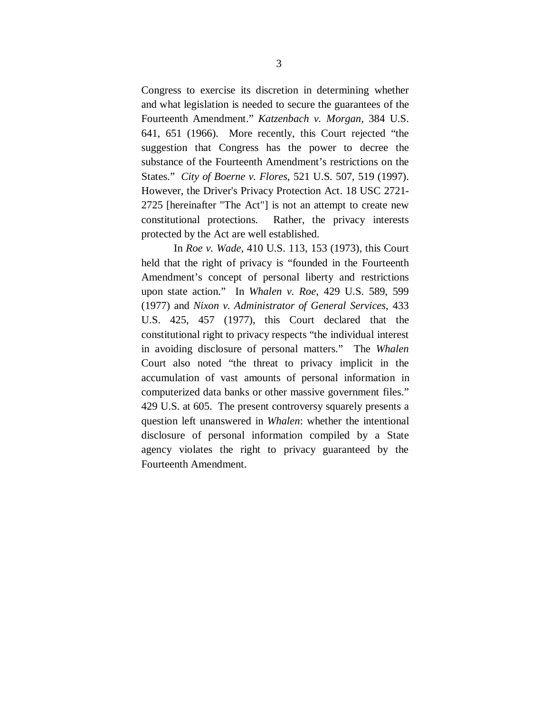Congress to exercise its discretion in determining whether and what legislation is needed to secure the guarantees of the Fourteenth Amendment." *Katzenbach v. Morgan*, 384 U.S. 641, 651 (1966). More recently, this Court rejected "the suggestion that Congress has the power to decree the substance of the Fourteenth Amendment's restrictions on the States." *City of Boerne v. Flores*, 521 U.S. 507, 519 (1997). However, the Driver's Privacy Protection Act. 18 USC 2721- 2725 [hereinafter "The Act"] is not an attempt to create new constitutional protections. Rather, the privacy interests protected by the Act are well established.

In *Roe v. Wade*, 410 U.S. 113, 153 (1973), this Court held that the right of privacy is "founded in the Fourteenth Amendment's concept of personal liberty and restrictions upon state action." In *Whalen v. Roe*, 429 U.S. 589, 599 (1977) and *Nixon v. Administrator of General Services*, 433 U.S. 425, 457 (1977), this Court declared that the constitutional right to privacy respects "the individual interest in avoiding disclosure of personal matters." The *Whalen* Court also noted "the threat to privacy implicit in the accumulation of vast amounts of personal information in computerized data banks or other massive government files." 429 U.S. at 605. The present controversy squarely presents a question left unanswered in *Whalen*: whether the intentional disclosure of personal information compiled by a State agency violates the right to privacy guaranteed by the Fourteenth Amendment.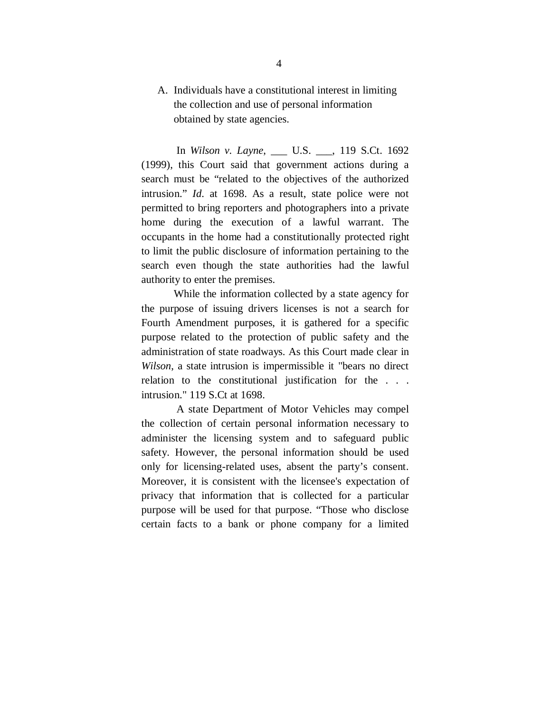## A. Individuals have a constitutional interest in limiting the collection and use of personal information obtained by state agencies.

 In *Wilson v. Layne*, \_\_\_ U.S. \_\_\_, 119 S.Ct. 1692 (1999), this Court said that government actions during a search must be "related to the objectives of the authorized intrusion." *Id*. at 1698. As a result, state police were not permitted to bring reporters and photographers into a private home during the execution of a lawful warrant. The occupants in the home had a constitutionally protected right to limit the public disclosure of information pertaining to the search even though the state authorities had the lawful authority to enter the premises.

While the information collected by a state agency for the purpose of issuing drivers licenses is not a search for Fourth Amendment purposes, it is gathered for a specific purpose related to the protection of public safety and the administration of state roadways. As this Court made clear in *Wilson*, a state intrusion is impermissible it "bears no direct relation to the constitutional justification for the . . . intrusion." 119 S.Ct at 1698.

 A state Department of Motor Vehicles may compel the collection of certain personal information necessary to administer the licensing system and to safeguard public safety. However, the personal information should be used only for licensing-related uses, absent the party's consent. Moreover, it is consistent with the licensee's expectation of privacy that information that is collected for a particular purpose will be used for that purpose. "Those who disclose certain facts to a bank or phone company for a limited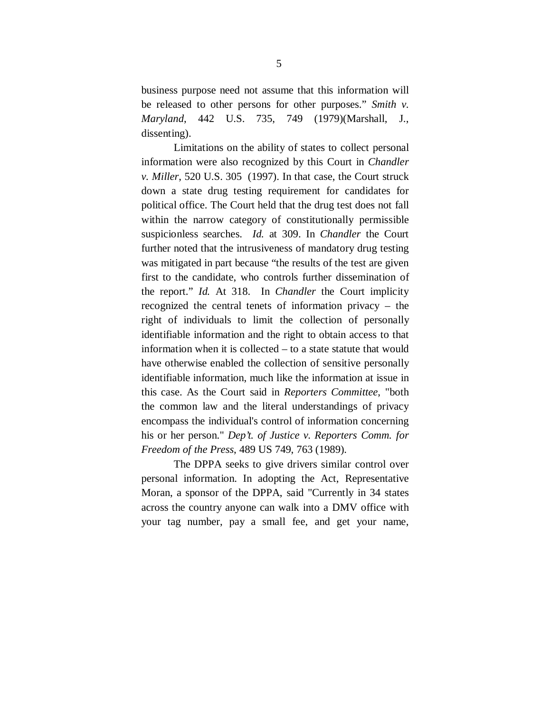business purpose need not assume that this information will be released to other persons for other purposes." *Smith v. Maryland*, 442 U.S. 735, 749 (1979)(Marshall, J., dissenting).

Limitations on the ability of states to collect personal information were also recognized by this Court in *Chandler v. Miller*, 520 U.S. 305 (1997). In that case, the Court struck down a state drug testing requirement for candidates for political office. The Court held that the drug test does not fall within the narrow category of constitutionally permissible suspicionless searches. *Id.* at 309. In *Chandler* the Court further noted that the intrusiveness of mandatory drug testing was mitigated in part because "the results of the test are given first to the candidate, who controls further dissemination of the report." *Id.* At 318. In *Chandler* the Court implicity recognized the central tenets of information privacy – the right of individuals to limit the collection of personally identifiable information and the right to obtain access to that information when it is collected – to a state statute that would have otherwise enabled the collection of sensitive personally identifiable information, much like the information at issue in this case. As the Court said in *Reporters Committee*, "both the common law and the literal understandings of privacy encompass the individual's control of information concerning his or her person." *Dep't. of Justice v. Reporters Comm. for Freedom of the Press*, 489 US 749, 763 (1989).

The DPPA seeks to give drivers similar control over personal information. In adopting the Act, Representative Moran, a sponsor of the DPPA, said "Currently in 34 states across the country anyone can walk into a DMV office with your tag number, pay a small fee, and get your name,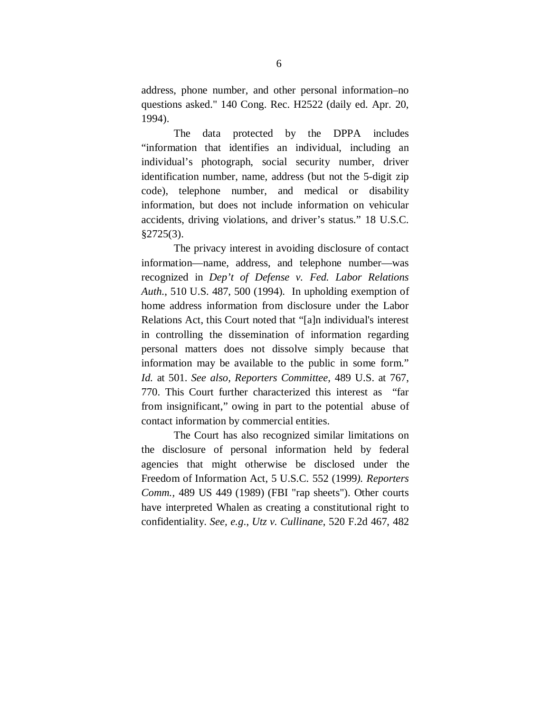address, phone number, and other personal information–no questions asked." 140 Cong. Rec. H2522 (daily ed. Apr. 20, 1994).

The data protected by the DPPA includes "information that identifies an individual, including an individual's photograph, social security number, driver identification number, name, address (but not the 5-digit zip code), telephone number, and medical or disability information, but does not include information on vehicular accidents, driving violations, and driver's status." 18 U.S.C. §2725(3).

The privacy interest in avoiding disclosure of contact information—name, address, and telephone number—was recognized in *Dep't of Defense v. Fed. Labor Relations Auth.*, 510 U.S. 487, 500 (1994). In upholding exemption of home address information from disclosure under the Labor Relations Act, this Court noted that "[a]n individual's interest in controlling the dissemination of information regarding personal matters does not dissolve simply because that information may be available to the public in some form." *Id.* at 501. *See also, Reporters Committee,* 489 U.S. at 767, 770. This Court further characterized this interest as "far from insignificant," owing in part to the potential abuse of contact information by commercial entities.

The Court has also recognized similar limitations on the disclosure of personal information held by federal agencies that might otherwise be disclosed under the Freedom of Information Act, 5 U.S.C. 552 (1999*). Reporters Comm.,* 489 US 449 (1989) (FBI "rap sheets"). Other courts have interpreted Whalen as creating a constitutional right to confidentiality. *See, e.g*., *Utz v. Cullinane*, 520 F.2d 467, 482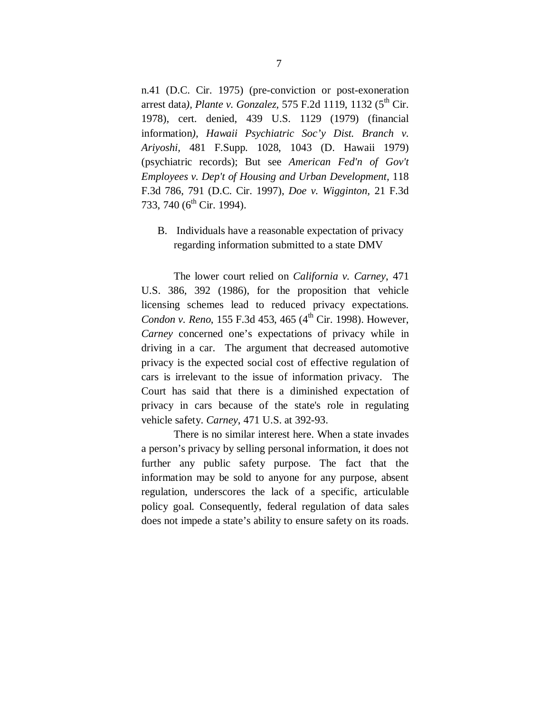n.41 (D.C. Cir. 1975) (pre-conviction or post-exoneration arrest data*), Plante v. Gonzalez,* 575 F.2d 1119, 1132 (5<sup>th</sup> Cir. 1978), cert. denied, 439 U.S. 1129 (1979) (financial information*), Hawaii Psychiatric Soc'y Dist. Branch v. Ariyoshi,* 481 F.Supp. 1028, 1043 (D. Hawaii 1979) (psychiatric records); But see *American Fed'n of Gov't Employees v. Dep't of Housing and Urban Development,* 118 F.3d 786, 791 (D.C. Cir. 1997), *Doe v. Wigginton,* 21 F.3d 733, 740 (6<sup>th</sup> Cir. 1994).

B. Individuals have a reasonable expectation of privacy regarding information submitted to a state DMV

The lower court relied on *California v. Carney*, 471 U.S. 386, 392 (1986), for the proposition that vehicle licensing schemes lead to reduced privacy expectations. *Condon v. Reno*, 155 F.3d 453, 465 (4<sup>th</sup> Cir. 1998). However, *Carney* concerned one's expectations of privacy while in driving in a car. The argument that decreased automotive privacy is the expected social cost of effective regulation of cars is irrelevant to the issue of information privacy. The Court has said that there is a diminished expectation of privacy in cars because of the state's role in regulating vehicle safety. *Carney*, 471 U.S. at 392-93.

There is no similar interest here. When a state invades a person's privacy by selling personal information, it does not further any public safety purpose. The fact that the information may be sold to anyone for any purpose, absent regulation, underscores the lack of a specific, articulable policy goal. Consequently, federal regulation of data sales does not impede a state's ability to ensure safety on its roads.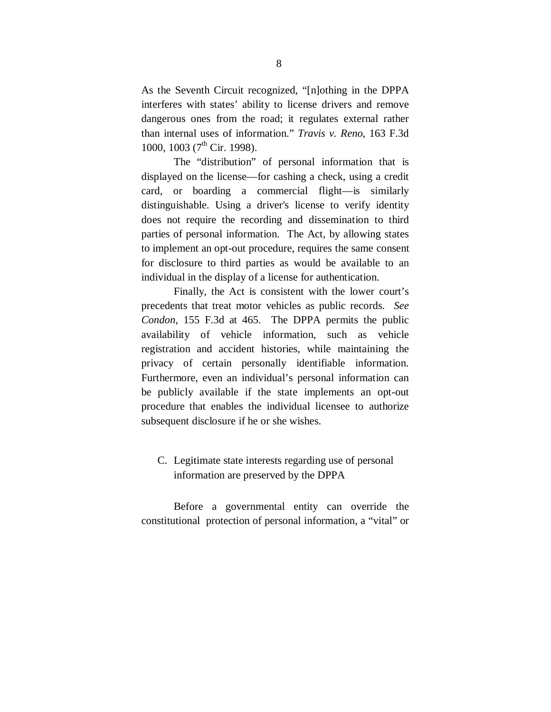As the Seventh Circuit recognized, "[n]othing in the DPPA interferes with states' ability to license drivers and remove dangerous ones from the road; it regulates external rather than internal uses of information." *Travis v. Reno*, 163 F.3d 1000, 1003 (7<sup>th</sup> Cir. 1998).

The "distribution" of personal information that is displayed on the license—for cashing a check, using a credit card, or boarding a commercial flight—is similarly distinguishable. Using a driver's license to verify identity does not require the recording and dissemination to third parties of personal information. The Act, by allowing states to implement an opt-out procedure, requires the same consent for disclosure to third parties as would be available to an individual in the display of a license for authentication.

Finally, the Act is consistent with the lower court's precedents that treat motor vehicles as public records. *See Condon*, 155 F.3d at 465. The DPPA permits the public availability of vehicle information, such as vehicle registration and accident histories, while maintaining the privacy of certain personally identifiable information. Furthermore, even an individual's personal information can be publicly available if the state implements an opt-out procedure that enables the individual licensee to authorize subsequent disclosure if he or she wishes.

## C. Legitimate state interests regarding use of personal information are preserved by the DPPA

Before a governmental entity can override the constitutional protection of personal information, a "vital" or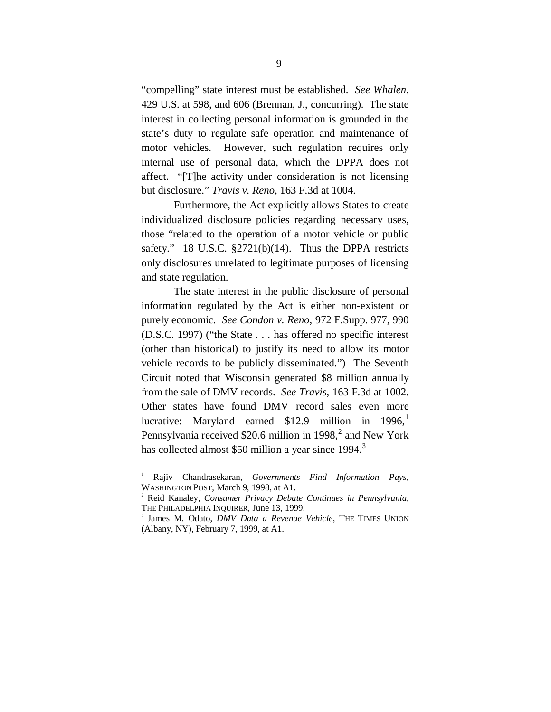"compelling" state interest must be established. *See Whalen*, 429 U.S. at 598, and 606 (Brennan, J., concurring). The state interest in collecting personal information is grounded in the state's duty to regulate safe operation and maintenance of motor vehicles. However, such regulation requires only internal use of personal data, which the DPPA does not affect. "[T]he activity under consideration is not licensing but disclosure." *Travis v. Reno*, 163 F.3d at 1004.

Furthermore, the Act explicitly allows States to create individualized disclosure policies regarding necessary uses, those "related to the operation of a motor vehicle or public safety." 18 U.S.C. §2721(b)(14). Thus the DPPA restricts only disclosures unrelated to legitimate purposes of licensing and state regulation.

The state interest in the public disclosure of personal information regulated by the Act is either non-existent or purely economic. *See Condon v. Reno*, 972 F.Supp. 977, 990 (D.S.C. 1997) ("the State . . . has offered no specific interest (other than historical) to justify its need to allow its motor vehicle records to be publicly disseminated.") The Seventh Circuit noted that Wisconsin generated \$8 million annually from the sale of DMV records. *See Travis*, 163 F.3d at 1002. Other states have found DMV record sales even more lucrative: Maryland earned  $$12.9$  million in  $1996$ , Pennsylvania received \$20.6 million in 1998, $^2$  and New York has collected almost \$50 million a year since 1994.<sup>3</sup>

 $\overline{1}$  Rajiv Chandrasekaran, *Governments Find Information Pays*, WASHINGTON POST, March 9, 1998, at A1.

<sup>2</sup> Reid Kanaley, *Consumer Privacy Debate Continues in Pennsylvania*, THE PHILADELPHIA INQUIRER, June 13, 1999.

<sup>3</sup> James M. Odato, *DMV Data a Revenue Vehicle*, THE TIMES UNION (Albany, NY), February 7, 1999, at A1.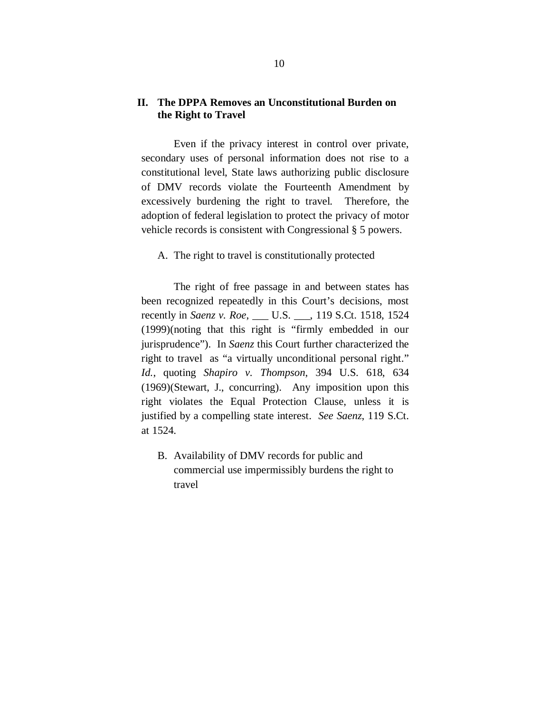#### **II. The DPPA Removes an Unconstitutional Burden on the Right to Travel**

Even if the privacy interest in control over private, secondary uses of personal information does not rise to a constitutional level, State laws authorizing public disclosure of DMV records violate the Fourteenth Amendment by excessively burdening the right to travel. Therefore, the adoption of federal legislation to protect the privacy of motor vehicle records is consistent with Congressional § 5 powers.

A. The right to travel is constitutionally protected

The right of free passage in and between states has been recognized repeatedly in this Court's decisions, most recently in *Saenz v. Roe*, \_\_\_ U.S. \_\_\_, 119 S.Ct. 1518, 1524 (1999)(noting that this right is "firmly embedded in our jurisprudence"). In *Saenz* this Court further characterized the right to travel as "a virtually unconditional personal right." *Id.*, quoting *Shapiro v. Thompson*, 394 U.S. 618, 634 (1969)(Stewart, J., concurring). Any imposition upon this right violates the Equal Protection Clause, unless it is justified by a compelling state interest. *See Saenz*, 119 S.Ct. at 1524.

B. Availability of DMV records for public and commercial use impermissibly burdens the right to travel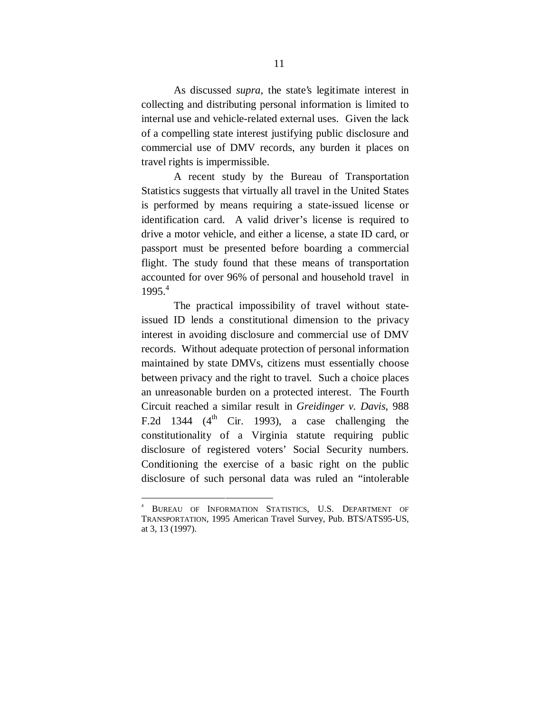As discussed *supra*, the state's legitimate interest in collecting and distributing personal information is limited to internal use and vehicle-related external uses. Given the lack of a compelling state interest justifying public disclosure and commercial use of DMV records, any burden it places on travel rights is impermissible.

 A recent study by the Bureau of Transportation Statistics suggests that virtually all travel in the United States is performed by means requiring a state-issued license or identification card. A valid driver's license is required to drive a motor vehicle, and either a license, a state ID card, or passport must be presented before boarding a commercial flight. The study found that these means of transportation accounted for over 96% of personal and household travel in  $1995.<sup>4</sup>$ 

The practical impossibility of travel without stateissued ID lends a constitutional dimension to the privacy interest in avoiding disclosure and commercial use of DMV records. Without adequate protection of personal information maintained by state DMVs, citizens must essentially choose between privacy and the right to travel. Such a choice places an unreasonable burden on a protected interest. The Fourth Circuit reached a similar result in *Greidinger v. Davis*, 988 F.2d 1344 ( $4<sup>th</sup>$  Cir. 1993), a case challenging the constitutionality of a Virginia statute requiring public disclosure of registered voters' Social Security numbers. Conditioning the exercise of a basic right on the public disclosure of such personal data was ruled an "intolerable

 <sup>4</sup> BUREAU OF INFORMATION STATISTICS, U.S. DEPARTMENT OF TRANSPORTATION, 1995 American Travel Survey, Pub. BTS/ATS95-US, at 3, 13 (1997).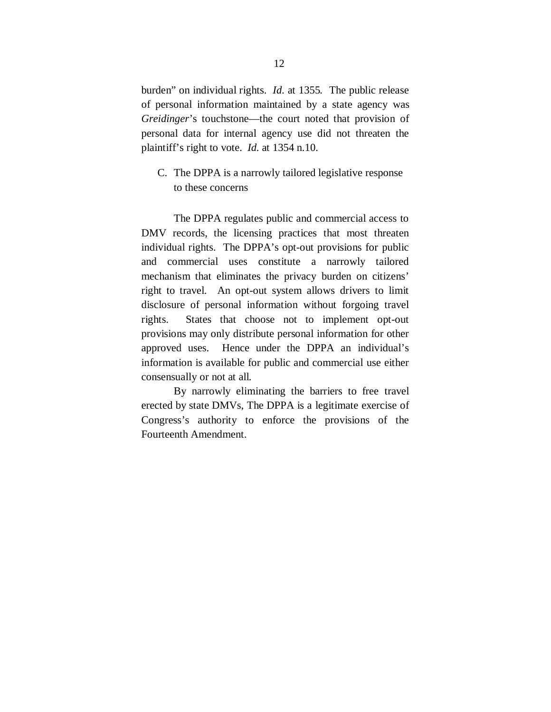burden" on individual rights. *Id.* at 1355*.* The public release of personal information maintained by a state agency was *Greidinger*'s touchstone—the court noted that provision of personal data for internal agency use did not threaten the plaintiff's right to vote. *Id.* at 1354 n.10.

C. The DPPA is a narrowly tailored legislative response to these concerns

The DPPA regulates public and commercial access to DMV records, the licensing practices that most threaten individual rights. The DPPA's opt-out provisions for public and commercial uses constitute a narrowly tailored mechanism that eliminates the privacy burden on citizens' right to travel. An opt-out system allows drivers to limit disclosure of personal information without forgoing travel rights. States that choose not to implement opt-out provisions may only distribute personal information for other approved uses. Hence under the DPPA an individual's information is available for public and commercial use either consensually or not at all.

By narrowly eliminating the barriers to free travel erected by state DMVs, The DPPA is a legitimate exercise of Congress's authority to enforce the provisions of the Fourteenth Amendment.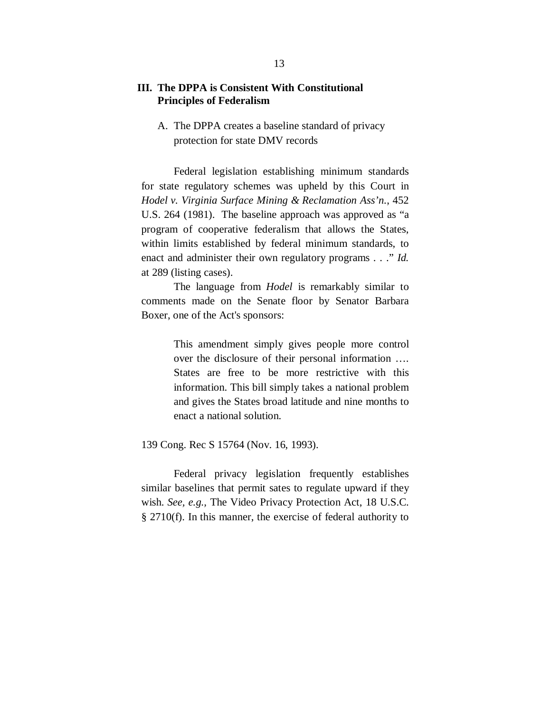#### **III. The DPPA is Consistent With Constitutional Principles of Federalism**

A. The DPPA creates a baseline standard of privacy protection for state DMV records

Federal legislation establishing minimum standards for state regulatory schemes was upheld by this Court in *Hodel v. Virginia Surface Mining & Reclamation Ass'n.*, 452 U.S. 264 (1981). The baseline approach was approved as "a program of cooperative federalism that allows the States, within limits established by federal minimum standards, to enact and administer their own regulatory programs . . ." *Id.* at 289 (listing cases).

The language from *Hodel* is remarkably similar to comments made on the Senate floor by Senator Barbara Boxer, one of the Act's sponsors:

> This amendment simply gives people more control over the disclosure of their personal information …. States are free to be more restrictive with this information. This bill simply takes a national problem and gives the States broad latitude and nine months to enact a national solution.

139 Cong. Rec S 15764 (Nov. 16, 1993).

Federal privacy legislation frequently establishes similar baselines that permit sates to regulate upward if they wish. *See, e.g.,* The Video Privacy Protection Act, 18 U.S.C. § 2710(f). In this manner, the exercise of federal authority to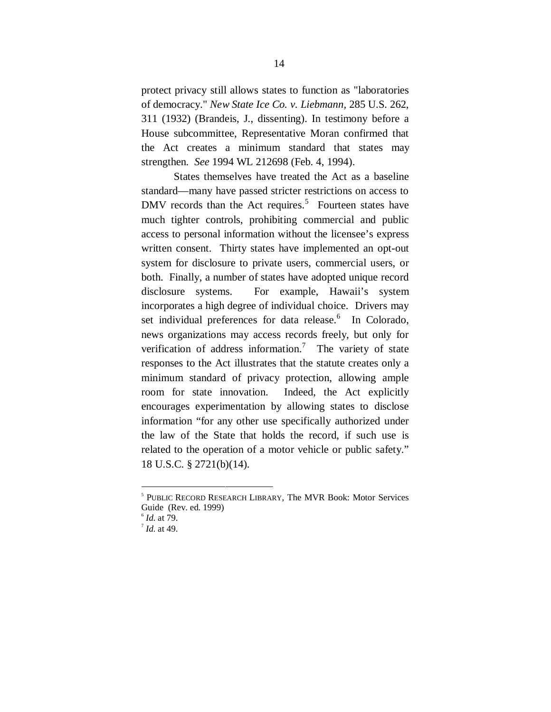protect privacy still allows states to function as "laboratories of democracy." *New State Ice Co. v. Liebmann*, 285 U.S. 262, 311 (1932) (Brandeis, J., dissenting). In testimony before a House subcommittee, Representative Moran confirmed that the Act creates a minimum standard that states may strengthen. *See* 1994 WL 212698 (Feb. 4, 1994).

States themselves have treated the Act as a baseline standard—many have passed stricter restrictions on access to DMV records than the Act requires.<sup>5</sup> Fourteen states have much tighter controls, prohibiting commercial and public access to personal information without the licensee's express written consent. Thirty states have implemented an opt-out system for disclosure to private users, commercial users, or both. Finally, a number of states have adopted unique record disclosure systems. For example, Hawaii's system incorporates a high degree of individual choice. Drivers may set individual preferences for data release.<sup>6</sup> In Colorado, news organizations may access records freely, but only for verification of address information.<sup>7</sup> The variety of state responses to the Act illustrates that the statute creates only a minimum standard of privacy protection, allowing ample room for state innovation. Indeed, the Act explicitly encourages experimentation by allowing states to disclose information "for any other use specifically authorized under the law of the State that holds the record, if such use is related to the operation of a motor vehicle or public safety." 18 U.S.C. § 2721(b)(14).

 <sup>5</sup> PUBLIC RECORD RESEARCH LIBRARY, The MVR Book: Motor Services Guide (Rev. ed. 1999)

<sup>6</sup> *Id.* at 79.

<sup>7</sup> *Id.* at 49.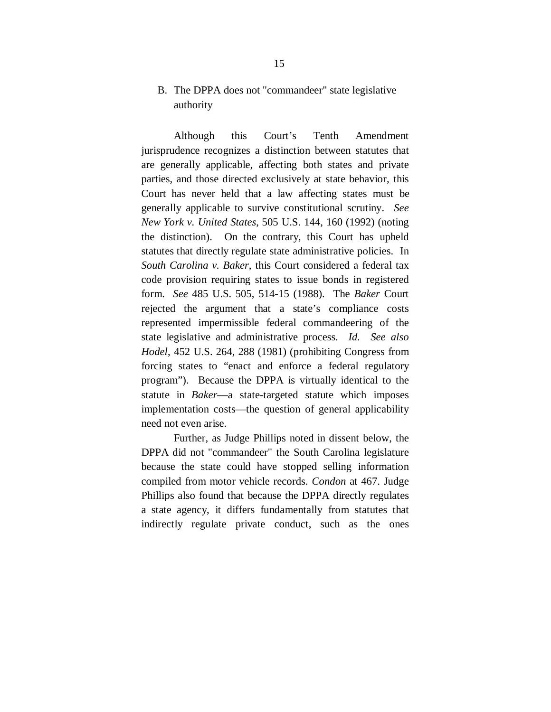### B. The DPPA does not "commandeer" state legislative authority

Although this Court's Tenth Amendment jurisprudence recognizes a distinction between statutes that are generally applicable, affecting both states and private parties, and those directed exclusively at state behavior, this Court has never held that a law affecting states must be generally applicable to survive constitutional scrutiny. *See New York v. United States*, 505 U.S. 144, 160 (1992) (noting the distinction). On the contrary, this Court has upheld statutes that directly regulate state administrative policies. In *South Carolina v. Baker*, this Court considered a federal tax code provision requiring states to issue bonds in registered form. *See* 485 U.S. 505, 514-15 (1988). The *Baker* Court rejected the argument that a state's compliance costs represented impermissible federal commandeering of the state legislative and administrative process. *Id. See also Hodel*, 452 U.S. 264, 288 (1981) (prohibiting Congress from forcing states to "enact and enforce a federal regulatory program"). Because the DPPA is virtually identical to the statute in *Baker*—a state-targeted statute which imposes implementation costs—the question of general applicability need not even arise.

Further, as Judge Phillips noted in dissent below, the DPPA did not "commandeer" the South Carolina legislature because the state could have stopped selling information compiled from motor vehicle records. *Condon* at 467. Judge Phillips also found that because the DPPA directly regulates a state agency, it differs fundamentally from statutes that indirectly regulate private conduct, such as the ones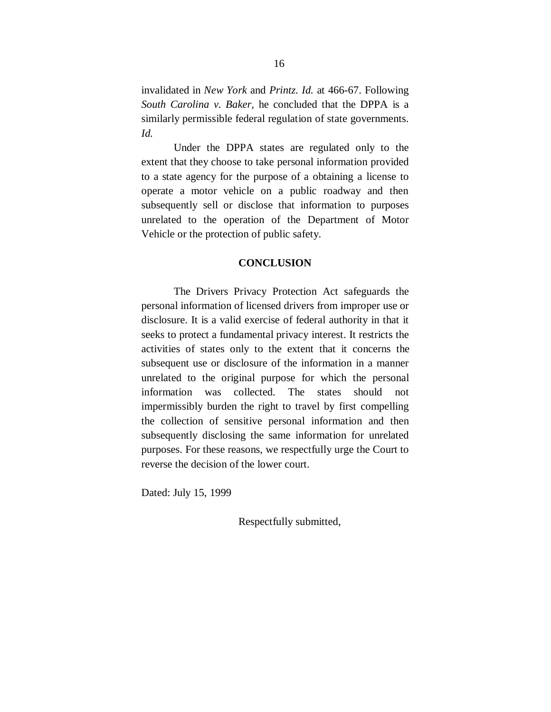invalidated in *New York* and *Printz*. *Id.* at 466-67. Following *South Carolina v. Baker,* he concluded that the DPPA is a similarly permissible federal regulation of state governments. *Id.*

Under the DPPA states are regulated only to the extent that they choose to take personal information provided to a state agency for the purpose of a obtaining a license to operate a motor vehicle on a public roadway and then subsequently sell or disclose that information to purposes unrelated to the operation of the Department of Motor Vehicle or the protection of public safety.

#### **CONCLUSION**

The Drivers Privacy Protection Act safeguards the personal information of licensed drivers from improper use or disclosure. It is a valid exercise of federal authority in that it seeks to protect a fundamental privacy interest. It restricts the activities of states only to the extent that it concerns the subsequent use or disclosure of the information in a manner unrelated to the original purpose for which the personal information was collected. The states should not impermissibly burden the right to travel by first compelling the collection of sensitive personal information and then subsequently disclosing the same information for unrelated purposes. For these reasons, we respectfully urge the Court to reverse the decision of the lower court.

Dated: July 15, 1999

Respectfully submitted,